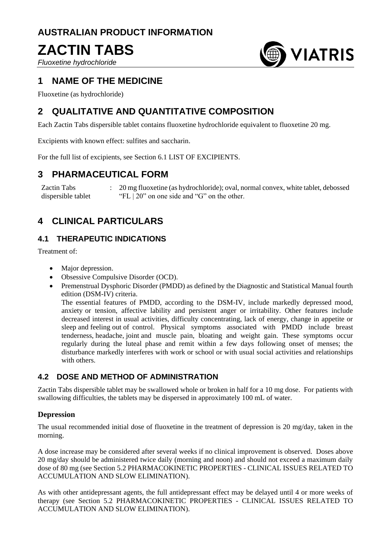# **AUSTRALIAN PRODUCT INFORMATION**

# **ZACTIN TABS**

*Fluoxetine hydrochloride*



# **1 NAME OF THE MEDICINE**

Fluoxetine (as hydrochloride)

# **2 QUALITATIVE AND QUANTITATIVE COMPOSITION**

Each Zactin Tabs dispersible tablet contains fluoxetine hydrochloride equivalent to fluoxetine 20 mg.

Excipients with known effect: sulfites and saccharin.

For the full list of excipients, see Section 6.1 LIST OF EXCIPIENTS.

# **3 PHARMACEUTICAL FORM**

Zactin Tabs dispersible tablet : 20 mg fluoxetine (as hydrochloride); oval, normal convex, white tablet, debossed "FL | 20" on one side and "G" on the other.

# **4 CLINICAL PARTICULARS**

# **4.1 THERAPEUTIC INDICATIONS**

Treatment of:

- Major depression.
- Obsessive Compulsive Disorder (OCD).
- Premenstrual Dysphoric Disorder (PMDD) as defined by the Diagnostic and Statistical Manual fourth edition (DSM-IV) criteria.

The essential features of PMDD, according to the DSM-IV, include markedly depressed mood, anxiety or tension, affective lability and persistent anger or irritability. Other features include decreased interest in usual activities, difficulty concentrating, lack of energy, change in appetite or sleep and feeling out of control. Physical symptoms associated with PMDD include breast tenderness, headache, joint and muscle pain, bloating and weight gain. These symptoms occur regularly during the luteal phase and remit within a few days following onset of menses; the disturbance markedly interferes with work or school or with usual social activities and relationships with others.

# **4.2 DOSE AND METHOD OF ADMINISTRATION**

Zactin Tabs dispersible tablet may be swallowed whole or broken in half for a 10 mg dose. For patients with swallowing difficulties, the tablets may be dispersed in approximately 100 mL of water.

### **Depression**

The usual recommended initial dose of fluoxetine in the treatment of depression is 20 mg/day, taken in the morning.

A dose increase may be considered after several weeks if no clinical improvement is observed. Doses above 20 mg/day should be administered twice daily (morning and noon) and should not exceed a maximum daily dose of 80 mg (see Section 5.2 PHARMACOKINETIC PROPERTIES - CLINICAL ISSUES RELATED TO ACCUMULATION AND SLOW ELIMINATION).

As with other antidepressant agents, the full antidepressant effect may be delayed until 4 or more weeks of therapy (see Section 5.2 PHARMACOKINETIC PROPERTIES - CLINICAL ISSUES RELATED TO ACCUMULATION AND SLOW ELIMINATION).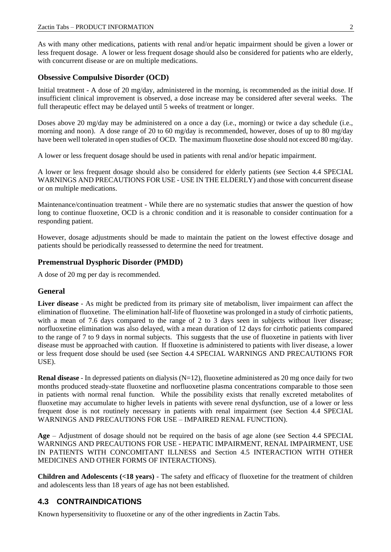As with many other medications, patients with renal and/or hepatic impairment should be given a lower or less frequent dosage. A lower or less frequent dosage should also be considered for patients who are elderly, with concurrent disease or are on multiple medications.

### **Obsessive Compulsive Disorder (OCD)**

Initial treatment - A dose of 20 mg/day, administered in the morning, is recommended as the initial dose. If insufficient clinical improvement is observed, a dose increase may be considered after several weeks. The full therapeutic effect may be delayed until 5 weeks of treatment or longer.

Doses above 20 mg/day may be administered on a once a day (i.e., morning) or twice a day schedule (i.e., morning and noon). A dose range of 20 to 60 mg/day is recommended, however, doses of up to 80 mg/day have been well tolerated in open studies of OCD. The maximum fluoxetine dose should not exceed 80 mg/day.

A lower or less frequent dosage should be used in patients with renal and/or hepatic impairment.

A lower or less frequent dosage should also be considered for elderly patients (see Section 4.4 SPECIAL WARNINGS AND PRECAUTIONS FOR USE - USE IN THE ELDERLY) and those with concurrent disease or on multiple medications.

Maintenance/continuation treatment - While there are no systematic studies that answer the question of how long to continue fluoxetine, OCD is a chronic condition and it is reasonable to consider continuation for a responding patient.

However, dosage adjustments should be made to maintain the patient on the lowest effective dosage and patients should be periodically reassessed to determine the need for treatment.

#### **Premenstrual Dysphoric Disorder (PMDD)**

A dose of 20 mg per day is recommended.

### **General**

**Liver disease** - As might be predicted from its primary site of metabolism, liver impairment can affect the elimination of fluoxetine. The elimination half-life of fluoxetine was prolonged in a study of cirrhotic patients, with a mean of 7.6 days compared to the range of 2 to 3 days seen in subjects without liver disease; norfluoxetine elimination was also delayed, with a mean duration of 12 days for cirrhotic patients compared to the range of 7 to 9 days in normal subjects. This suggests that the use of fluoxetine in patients with liver disease must be approached with caution. If fluoxetine is administered to patients with liver disease, a lower or less frequent dose should be used (see Section 4.4 SPECIAL WARNINGS AND PRECAUTIONS FOR USE).

**Renal disease** - In depressed patients on dialysis (N=12), fluoxetine administered as 20 mg once daily for two months produced steady-state fluoxetine and norfluoxetine plasma concentrations comparable to those seen in patients with normal renal function. While the possibility exists that renally excreted metabolites of fluoxetine may accumulate to higher levels in patients with severe renal dysfunction, use of a lower or less frequent dose is not routinely necessary in patients with renal impairment (see Section 4.4 SPECIAL WARNINGS AND PRECAUTIONS FOR USE – IMPAIRED RENAL FUNCTION).

**Age** – Adjustment of dosage should not be required on the basis of age alone (see Section 4.4 SPECIAL WARNINGS AND PRECAUTIONS FOR USE - HEPATIC IMPAIRMENT, RENAL IMPAIRMENT, USE IN PATIENTS WITH CONCOMITANT ILLNESS and Section 4.5 INTERACTION WITH OTHER MEDICINES AND OTHER FORMS OF INTERACTIONS).

**Children and Adolescents (<18 years)** - The safety and efficacy of fluoxetine for the treatment of children and adolescents less than 18 years of age has not been established.

# **4.3 CONTRAINDICATIONS**

Known hypersensitivity to fluoxetine or any of the other ingredients in Zactin Tabs.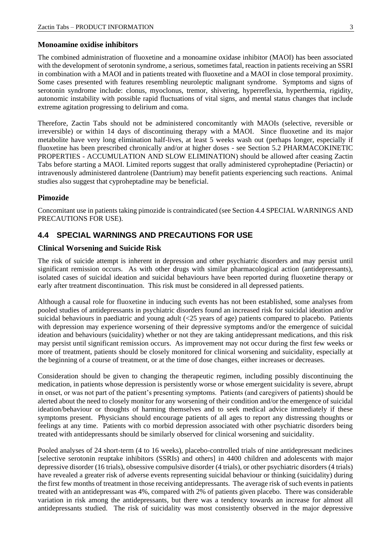#### **Monoamine oxidise inhibitors**

The combined administration of fluoxetine and a monoamine oxidase inhibitor (MAOI) has been associated with the development of serotonin syndrome, a serious, sometimes fatal, reaction in patients receiving an SSRI in combination with a MAOI and in patients treated with fluoxetine and a MAOI in close temporal proximity. Some cases presented with features resembling neuroleptic malignant syndrome. Symptoms and signs of serotonin syndrome include: clonus, myoclonus, tremor, shivering, hyperreflexia, hyperthermia, rigidity, autonomic instability with possible rapid fluctuations of vital signs, and mental status changes that include extreme agitation progressing to delirium and coma.

Therefore, Zactin Tabs should not be administered concomitantly with MAOIs (selective, reversible or irreversible) or within 14 days of discontinuing therapy with a MAOI. Since fluoxetine and its major metabolite have very long elimination half-lives, at least 5 weeks wash out (perhaps longer, especially if fluoxetine has been prescribed chronically and/or at higher doses - see Section 5.2 PHARMACOKINETIC PROPERTIES - ACCUMULATION AND SLOW ELIMINATION) should be allowed after ceasing Zactin Tabs before starting a MAOI. Limited reports suggest that orally administered cyproheptadine (Periactin) or intravenously administered dantrolene (Dantrium) may benefit patients experiencing such reactions. Animal studies also suggest that cyproheptadine may be beneficial.

#### **Pimozide**

Concomitant use in patients taking pimozide is contraindicated (see Section 4.4 SPECIAL WARNINGS AND PRECAUTIONS FOR USE).

### **4.4 SPECIAL WARNINGS AND PRECAUTIONS FOR USE**

#### **Clinical Worsening and Suicide Risk**

The risk of suicide attempt is inherent in depression and other psychiatric disorders and may persist until significant remission occurs. As with other drugs with similar pharmacological action (antidepressants), isolated cases of suicidal ideation and suicidal behaviours have been reported during fluoxetine therapy or early after treatment discontinuation. This risk must be considered in all depressed patients.

Although a causal role for fluoxetine in inducing such events has not been established, some analyses from pooled studies of antidepressants in psychiatric disorders found an increased risk for suicidal ideation and/or suicidal behaviours in paediatric and young adult (<25 years of age) patients compared to placebo. Patients with depression may experience worsening of their depressive symptoms and/or the emergence of suicidal ideation and behaviours (suicidality) whether or not they are taking antidepressant medications, and this risk may persist until significant remission occurs. As improvement may not occur during the first few weeks or more of treatment, patients should be closely monitored for clinical worsening and suicidality, especially at the beginning of a course of treatment, or at the time of dose changes, either increases or decreases.

Consideration should be given to changing the therapeutic regimen, including possibly discontinuing the medication, in patients whose depression is persistently worse or whose emergent suicidality is severe, abrupt in onset, or was not part of the patient's presenting symptoms. Patients (and caregivers of patients) should be alerted about the need to closely monitor for any worsening of their condition and/or the emergence of suicidal ideation/behaviour or thoughts of harming themselves and to seek medical advice immediately if these symptoms present. Physicians should encourage patients of all ages to report any distressing thoughts or feelings at any time. Patients with co morbid depression associated with other psychiatric disorders being treated with antidepressants should be similarly observed for clinical worsening and suicidality.

Pooled analyses of 24 short-term (4 to 16 weeks), placebo-controlled trials of nine antidepressant medicines [selective serotonin reuptake inhibitors (SSRIs) and others] in 4400 children and adolescents with major depressive disorder (16 trials), obsessive compulsive disorder (4 trials), or other psychiatric disorders (4 trials) have revealed a greater risk of adverse events representing suicidal behaviour or thinking (suicidality) during the first few months of treatment in those receiving antidepressants. The average risk of such events in patients treated with an antidepressant was 4%, compared with 2% of patients given placebo. There was considerable variation in risk among the antidepressants, but there was a tendency towards an increase for almost all antidepressants studied. The risk of suicidality was most consistently observed in the major depressive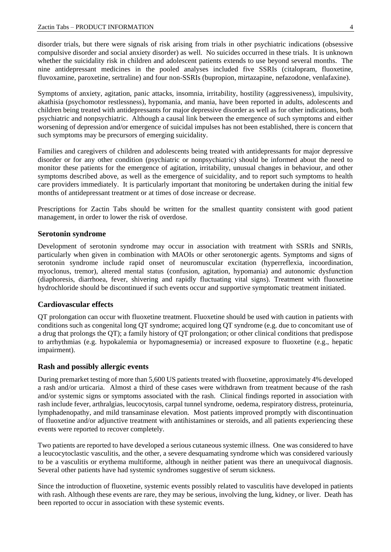disorder trials, but there were signals of risk arising from trials in other psychiatric indications (obsessive compulsive disorder and social anxiety disorder) as well. No suicides occurred in these trials. It is unknown whether the suicidality risk in children and adolescent patients extends to use beyond several months. The nine antidepressant medicines in the pooled analyses included five SSRIs (citalopram, fluoxetine, fluvoxamine, paroxetine, sertraline) and four non-SSRIs (bupropion, mirtazapine, nefazodone, venlafaxine).

Symptoms of anxiety, agitation, panic attacks, insomnia, irritability, hostility (aggressiveness), impulsivity, akathisia (psychomotor restlessness), hypomania, and mania, have been reported in adults, adolescents and children being treated with antidepressants for major depressive disorder as well as for other indications, both psychiatric and nonpsychiatric. Although a causal link between the emergence of such symptoms and either worsening of depression and/or emergence of suicidal impulses has not been established, there is concern that such symptoms may be precursors of emerging suicidality.

Families and caregivers of children and adolescents being treated with antidepressants for major depressive disorder or for any other condition (psychiatric or nonpsychiatric) should be informed about the need to monitor these patients for the emergence of agitation, irritability, unusual changes in behaviour, and other symptoms described above, as well as the emergence of suicidality, and to report such symptoms to health care providers immediately. It is particularly important that monitoring be undertaken during the initial few months of antidepressant treatment or at times of dose increase or decrease.

Prescriptions for Zactin Tabs should be written for the smallest quantity consistent with good patient management, in order to lower the risk of overdose.

#### **Serotonin syndrome**

Development of serotonin syndrome may occur in association with treatment with SSRIs and SNRIs, particularly when given in combination with MAOIs or other serotonergic agents. Symptoms and signs of serotonin syndrome include rapid onset of neuromuscular excitation (hyperreflexia, incoordination, myoclonus, tremor), altered mental status (confusion, agitation, hypomania) and autonomic dysfunction (diaphoresis, diarrhoea, fever, shivering and rapidly fluctuating vital signs). Treatment with fluoxetine hydrochloride should be discontinued if such events occur and supportive symptomatic treatment initiated.

#### **Cardiovascular effects**

QT prolongation can occur with fluoxetine treatment. Fluoxetine should be used with caution in patients with conditions such as congenital long QT syndrome; acquired long QT syndrome (e.g. due to concomitant use of a drug that prolongs the QT); a family history of QT prolongation; or other clinical conditions that predispose to arrhythmias (e.g. hypokalemia or hypomagnesemia) or increased exposure to fluoxetine (e.g., hepatic impairment).

#### **Rash and possibly allergic events**

During premarket testing of more than 5,600 US patients treated with fluoxetine, approximately 4% developed a rash and/or urticaria. Almost a third of these cases were withdrawn from treatment because of the rash and/or systemic signs or symptoms associated with the rash. Clinical findings reported in association with rash include fever, arthralgias, leucocytosis, carpal tunnel syndrome, oedema, respiratory distress, proteinuria, lymphadenopathy, and mild transaminase elevation. Most patients improved promptly with discontinuation of fluoxetine and/or adjunctive treatment with antihistamines or steroids, and all patients experiencing these events were reported to recover completely.

Two patients are reported to have developed a serious cutaneous systemic illness. One was considered to have a leucocytoclastic vasculitis, and the other, a severe desquamating syndrome which was considered variously to be a vasculitis or erythema multiforme, although in neither patient was there an unequivocal diagnosis. Several other patients have had systemic syndromes suggestive of serum sickness.

Since the introduction of fluoxetine, systemic events possibly related to vasculitis have developed in patients with rash. Although these events are rare, they may be serious, involving the lung, kidney, or liver. Death has been reported to occur in association with these systemic events.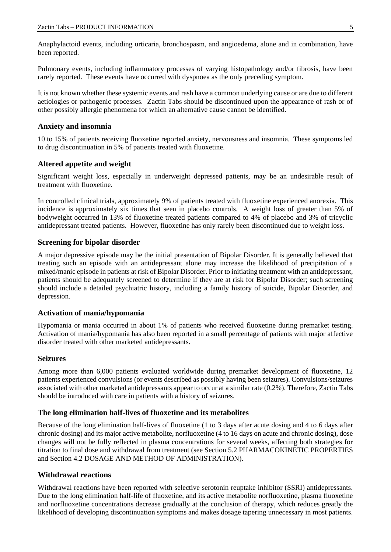Anaphylactoid events, including urticaria, bronchospasm, and angioedema, alone and in combination, have been reported.

Pulmonary events, including inflammatory processes of varying histopathology and/or fibrosis, have been rarely reported. These events have occurred with dyspnoea as the only preceding symptom.

It is not known whether these systemic events and rash have a common underlying cause or are due to different aetiologies or pathogenic processes. Zactin Tabs should be discontinued upon the appearance of rash or of other possibly allergic phenomena for which an alternative cause cannot be identified.

#### **Anxiety and insomnia**

10 to 15% of patients receiving fluoxetine reported anxiety, nervousness and insomnia. These symptoms led to drug discontinuation in 5% of patients treated with fluoxetine.

#### **Altered appetite and weight**

Significant weight loss, especially in underweight depressed patients, may be an undesirable result of treatment with fluoxetine.

In controlled clinical trials, approximately 9% of patients treated with fluoxetine experienced anorexia. This incidence is approximately six times that seen in placebo controls. A weight loss of greater than 5% of bodyweight occurred in 13% of fluoxetine treated patients compared to 4% of placebo and 3% of tricyclic antidepressant treated patients. However, fluoxetine has only rarely been discontinued due to weight loss.

#### **Screening for bipolar disorder**

A major depressive episode may be the initial presentation of Bipolar Disorder. It is generally believed that treating such an episode with an antidepressant alone may increase the likelihood of precipitation of a mixed/manic episode in patients at risk of Bipolar Disorder. Prior to initiating treatment with an antidepressant, patients should be adequately screened to determine if they are at risk for Bipolar Disorder; such screening should include a detailed psychiatric history, including a family history of suicide, Bipolar Disorder, and depression.

#### **Activation of mania/hypomania**

Hypomania or mania occurred in about 1% of patients who received fluoxetine during premarket testing. Activation of mania/hypomania has also been reported in a small percentage of patients with major affective disorder treated with other marketed antidepressants.

#### **Seizures**

Among more than 6,000 patients evaluated worldwide during premarket development of fluoxetine, 12 patients experienced convulsions (or events described as possibly having been seizures). Convulsions/seizures associated with other marketed antidepressants appear to occur at a similar rate (0.2%). Therefore, Zactin Tabs should be introduced with care in patients with a history of seizures.

#### **The long elimination half-lives of fluoxetine and its metabolites**

Because of the long elimination half-lives of fluoxetine (1 to 3 days after acute dosing and 4 to 6 days after chronic dosing) and its major active metabolite, norfluoxetine (4 to 16 days on acute and chronic dosing), dose changes will not be fully reflected in plasma concentrations for several weeks, affecting both strategies for titration to final dose and withdrawal from treatment (see Section 5.2 PHARMACOKINETIC PROPERTIES and Section 4.2 DOSAGE AND METHOD OF ADMINISTRATION).

#### **Withdrawal reactions**

Withdrawal reactions have been reported with selective serotonin reuptake inhibitor (SSRI) antidepressants. Due to the long elimination half-life of fluoxetine, and its active metabolite norfluoxetine, plasma fluoxetine and norfluoxetine concentrations decrease gradually at the conclusion of therapy, which reduces greatly the likelihood of developing discontinuation symptoms and makes dosage tapering unnecessary in most patients.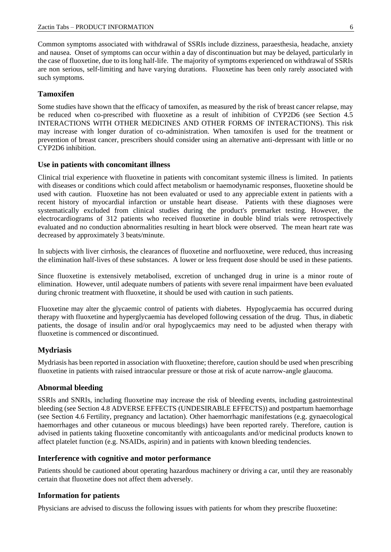Common symptoms associated with withdrawal of SSRIs include dizziness, paraesthesia, headache, anxiety and nausea. Onset of symptoms can occur within a day of discontinuation but may be delayed, particularly in the case of fluoxetine, due to its long half-life. The majority of symptoms experienced on withdrawal of SSRIs are non serious, self-limiting and have varying durations. Fluoxetine has been only rarely associated with such symptoms.

#### **Tamoxifen**

Some studies have shown that the efficacy of tamoxifen, as measured by the risk of breast cancer relapse, may be reduced when co-prescribed with fluoxetine as a result of inhibition of CYP2D6 (see Section 4.5 INTERACTIONS WITH OTHER MEDICINES AND OTHER FORMS OF INTERACTIONS). This risk may increase with longer duration of co-administration. When tamoxifen is used for the treatment or prevention of breast cancer, prescribers should consider using an alternative anti-depressant with little or no CYP2D6 inhibition.

#### **Use in patients with concomitant illness**

Clinical trial experience with fluoxetine in patients with concomitant systemic illness is limited. In patients with diseases or conditions which could affect metabolism or haemodynamic responses, fluoxetine should be used with caution. Fluoxetine has not been evaluated or used to any appreciable extent in patients with a recent history of myocardial infarction or unstable heart disease. Patients with these diagnoses were systematically excluded from clinical studies during the product's premarket testing. However, the electrocardiograms of 312 patients who received fluoxetine in double blind trials were retrospectively evaluated and no conduction abnormalities resulting in heart block were observed. The mean heart rate was decreased by approximately 3 beats/minute.

In subjects with liver cirrhosis, the clearances of fluoxetine and norfluoxetine, were reduced, thus increasing the elimination half-lives of these substances. A lower or less frequent dose should be used in these patients.

Since fluoxetine is extensively metabolised, excretion of unchanged drug in urine is a minor route of elimination. However, until adequate numbers of patients with severe renal impairment have been evaluated during chronic treatment with fluoxetine, it should be used with caution in such patients.

Fluoxetine may alter the glycaemic control of patients with diabetes. Hypoglycaemia has occurred during therapy with fluoxetine and hyperglycaemia has developed following cessation of the drug. Thus, in diabetic patients, the dosage of insulin and/or oral hypoglycaemics may need to be adjusted when therapy with fluoxetine is commenced or discontinued.

### **Mydriasis**

Mydriasis has been reported in association with fluoxetine; therefore, caution should be used when prescribing fluoxetine in patients with raised intraocular pressure or those at risk of acute narrow-angle glaucoma.

#### **Abnormal bleeding**

SSRIs and SNRIs, including fluoxetine may increase the risk of bleeding events, including gastrointestinal bleeding (see Section 4.8 ADVERSE EFFECTS (UNDESIRABLE EFFECTS)) and postpartum haemorrhage (see Section 4.6 Fertility, pregnancy and lactation). Other haemorrhagic manifestations (e.g. gynaecological haemorrhages and other cutaneous or mucous bleedings) have been reported rarely. Therefore, caution is advised in patients taking fluoxetine concomitantly with anticoagulants and/or medicinal products known to affect platelet function (e.g. NSAIDs, aspirin) and in patients with known bleeding tendencies.

### **Interference with cognitive and motor performance**

Patients should be cautioned about operating hazardous machinery or driving a car, until they are reasonably certain that fluoxetine does not affect them adversely.

#### **Information for patients**

Physicians are advised to discuss the following issues with patients for whom they prescribe fluoxetine: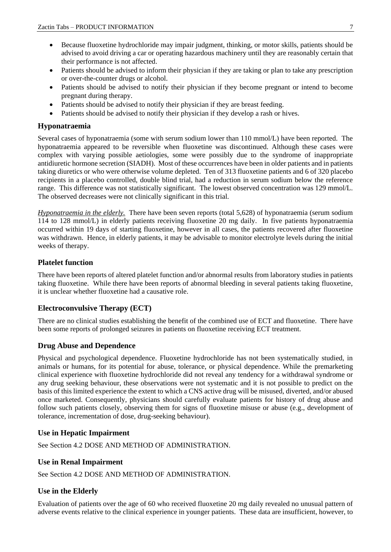- Because fluoxetine hydrochloride may impair judgment, thinking, or motor skills, patients should be advised to avoid driving a car or operating hazardous machinery until they are reasonably certain that their performance is not affected.
- Patients should be advised to inform their physician if they are taking or plan to take any prescription or over-the-counter drugs or alcohol.
- Patients should be advised to notify their physician if they become pregnant or intend to become pregnant during therapy.
- Patients should be advised to notify their physician if they are breast feeding.
- Patients should be advised to notify their physician if they develop a rash or hives.

#### **Hyponatraemia**

Several cases of hyponatraemia (some with serum sodium lower than 110 mmol/L) have been reported. The hyponatraemia appeared to be reversible when fluoxetine was discontinued. Although these cases were complex with varying possible aetiologies, some were possibly due to the syndrome of inappropriate antidiuretic hormone secretion (SIADH). Most of these occurrences have been in older patients and in patients taking diuretics or who were otherwise volume depleted. Ten of 313 fluoxetine patients and 6 of 320 placebo recipients in a placebo controlled, double blind trial, had a reduction in serum sodium below the reference range. This difference was not statistically significant. The lowest observed concentration was 129 mmol/L. The observed decreases were not clinically significant in this trial.

*Hyponatraemia in the elderly.* There have been seven reports (total 5,628) of hyponatraemia (serum sodium 114 to 128 mmol/L) in elderly patients receiving fluoxetine 20 mg daily. In five patients hyponatraemia occurred within 19 days of starting fluoxetine, however in all cases, the patients recovered after fluoxetine was withdrawn. Hence, in elderly patients, it may be advisable to monitor electrolyte levels during the initial weeks of therapy.

#### **Platelet function**

There have been reports of altered platelet function and/or abnormal results from laboratory studies in patients taking fluoxetine. While there have been reports of abnormal bleeding in several patients taking fluoxetine, it is unclear whether fluoxetine had a causative role.

#### **Electroconvulsive Therapy (ECT)**

There are no clinical studies establishing the benefit of the combined use of ECT and fluoxetine. There have been some reports of prolonged seizures in patients on fluoxetine receiving ECT treatment.

#### **Drug Abuse and Dependence**

Physical and psychological dependence. Fluoxetine hydrochloride has not been systematically studied, in animals or humans, for its potential for abuse, tolerance, or physical dependence. While the premarketing clinical experience with fluoxetine hydrochloride did not reveal any tendency for a withdrawal syndrome or any drug seeking behaviour, these observations were not systematic and it is not possible to predict on the basis of this limited experience the extent to which a CNS active drug will be misused, diverted, and/or abused once marketed. Consequently, physicians should carefully evaluate patients for history of drug abuse and follow such patients closely, observing them for signs of fluoxetine misuse or abuse (e.g., development of tolerance, incrementation of dose, drug-seeking behaviour).

#### **Use in Hepatic Impairment**

See Section 4.2 DOSE AND METHOD OF ADMINISTRATION.

#### **Use in Renal Impairment**

See Section 4.2 DOSE AND METHOD OF ADMINISTRATION.

### **Use in the Elderly**

Evaluation of patients over the age of 60 who received fluoxetine 20 mg daily revealed no unusual pattern of adverse events relative to the clinical experience in younger patients. These data are insufficient, however, to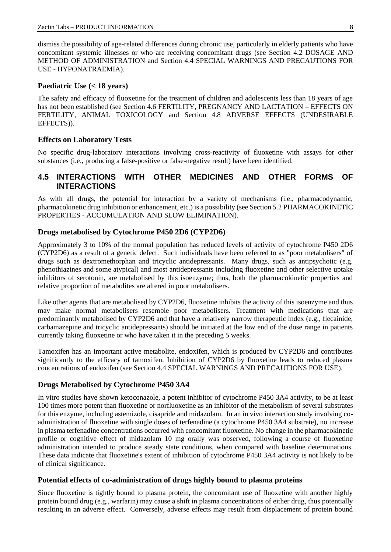dismiss the possibility of age-related differences during chronic use, particularly in elderly patients who have concomitant systemic illnesses or who are receiving concomitant drugs (see Section 4.2 DOSAGE AND METHOD OF ADMINISTRATION and Section 4.4 SPECIAL WARNINGS AND PRECAUTIONS FOR USE - HYPONATRAEMIA).

#### **Paediatric Use (< 18 years)**

The safety and efficacy of fluoxetine for the treatment of children and adolescents less than 18 years of age has not been established (see Section 4.6 FERTILITY, PREGNANCY AND LACTATION – EFFECTS ON FERTILITY, ANIMAL TOXICOLOGY and Section 4.8 ADVERSE EFFECTS (UNDESIRABLE EFFECTS)).

### **Effects on Laboratory Tests**

No specific drug-laboratory interactions involving cross-reactivity of fluoxetine with assays for other substances (i.e., producing a false-positive or false-negative result) have been identified.

# **4.5 INTERACTIONS WITH OTHER MEDICINES AND OTHER FORMS OF INTERACTIONS**

As with all drugs, the potential for interaction by a variety of mechanisms (i.e., pharmacodynamic, pharmacokinetic drug inhibition or enhancement, etc.) is a possibility (see Section 5.2 PHARMACOKINETIC PROPERTIES - ACCUMULATION AND SLOW ELIMINATION).

#### **Drugs metabolised by Cytochrome P450 2D6 (CYP2D6)**

Approximately 3 to 10% of the normal population has reduced levels of activity of cytochrome P450 2D6 (CYP2D6) as a result of a genetic defect. Such individuals have been referred to as "poor metabolisers" of drugs such as dextromethorphan and tricyclic antidepressants. Many drugs, such as antipsychotic (e.g. phenothiazines and some atypical) and most antidepressants including fluoxetine and other selective uptake inhibitors of serotonin, are metabolised by this isoenzyme; thus, both the pharmacokinetic properties and relative proportion of metabolites are altered in poor metabolisers.

Like other agents that are metabolised by CYP2D6, fluoxetine inhibits the activity of this isoenzyme and thus may make normal metabolisers resemble poor metabolisers. Treatment with medications that are predominantly metabolised by CYP2D6 and that have a relatively narrow therapeutic index (e.g., flecainide, carbamazepine and tricyclic antidepressants) should be initiated at the low end of the dose range in patients currently taking fluoxetine or who have taken it in the preceding 5 weeks.

Tamoxifen has an important active metabolite, endoxifen, which is produced by CYP2D6 and contributes significantly to the efficacy of tamoxifen. Inhibition of CYP2D6 by fluoxetine leads to reduced plasma concentrations of endoxifen (see Section 4.4 SPECIAL WARNINGS AND PRECAUTIONS FOR USE).

### **Drugs Metabolised by Cytochrome P450 3A4**

In vitro studies have shown ketoconazole, a potent inhibitor of cytochrome P450 3A4 activity, to be at least 100 times more potent than fluoxetine or norfluoxetine as an inhibitor of the metabolism of several substrates for this enzyme, including astemizole, cisapride and midazolam. In an in vivo interaction study involving coadministration of fluoxetine with single doses of terfenadine (a cytochrome P450 3A4 substrate), no increase in plasma terfenadine concentrations occurred with concomitant fluoxetine. No change in the pharmacokinetic profile or cognitive effect of midazolam 10 mg orally was observed, following a course of fluoxetine administration intended to produce steady state conditions, when compared with baseline determinations. These data indicate that fluoxetine's extent of inhibition of cytochrome P450 3A4 activity is not likely to be of clinical significance.

### **Potential effects of co-administration of drugs highly bound to plasma proteins**

Since fluoxetine is tightly bound to plasma protein, the concomitant use of fluoxetine with another highly protein bound drug (e.g., warfarin) may cause a shift in plasma concentrations of either drug, thus potentially resulting in an adverse effect. Conversely, adverse effects may result from displacement of protein bound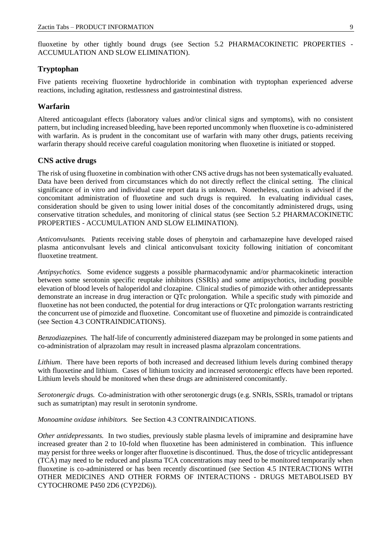fluoxetine by other tightly bound drugs (see Section 5.2 PHARMACOKINETIC PROPERTIES - ACCUMULATION AND SLOW ELIMINATION).

#### **Tryptophan**

Five patients receiving fluoxetine hydrochloride in combination with tryptophan experienced adverse reactions, including agitation, restlessness and gastrointestinal distress.

#### **Warfarin**

Altered anticoagulant effects (laboratory values and/or clinical signs and symptoms), with no consistent pattern, but including increased bleeding, have been reported uncommonly when fluoxetine is co-administered with warfarin. As is prudent in the concomitant use of warfarin with many other drugs, patients receiving warfarin therapy should receive careful coagulation monitoring when fluoxetine is initiated or stopped.

#### **CNS active drugs**

The risk of using fluoxetine in combination with other CNS active drugs has not been systematically evaluated. Data have been derived from circumstances which do not directly reflect the clinical setting. The clinical significance of in vitro and individual case report data is unknown. Nonetheless, caution is advised if the concomitant administration of fluoxetine and such drugs is required. In evaluating individual cases, consideration should be given to using lower initial doses of the concomitantly administered drugs, using conservative titration schedules, and monitoring of clinical status (see Section 5.2 PHARMACOKINETIC PROPERTIES - ACCUMULATION AND SLOW ELIMINATION).

*Anticonvulsants.* Patients receiving stable doses of phenytoin and carbamazepine have developed raised plasma anticonvulsant levels and clinical anticonvulsant toxicity following initiation of concomitant fluoxetine treatment.

*Antipsychotics.* Some evidence suggests a possible pharmacodynamic and/or pharmacokinetic interaction between some serotonin specific reuptake inhibitors (SSRIs) and some antipsychotics, including possible elevation of blood levels of haloperidol and clozapine. Clinical studies of pimozide with other antidepressants demonstrate an increase in drug interaction or QTc prolongation. While a specific study with pimozide and fluoxetine has not been conducted, the potential for drug interactions or QTc prolongation warrants restricting the concurrent use of pimozide and fluoxetine. Concomitant use of fluoxetine and pimozide is contraindicated (see Section 4.3 CONTRAINDICATIONS).

*Benzodiazepines.* The half-life of concurrently administered diazepam may be prolonged in some patients and co-administration of alprazolam may result in increased plasma alprazolam concentrations.

*Lithium*. There have been reports of both increased and decreased lithium levels during combined therapy with fluoxetine and lithium. Cases of lithium toxicity and increased serotonergic effects have been reported. Lithium levels should be monitored when these drugs are administered concomitantly.

*Serotonergic drugs.* Co-administration with other serotonergic drugs (e.g. SNRIs, SSRIs, tramadol or triptans such as sumatriptan) may result in serotonin syndrome.

*Monoamine oxidase inhibitors.* See Section 4.3 CONTRAINDICATIONS.

*Other antidepressants.* In two studies, previously stable plasma levels of imipramine and desipramine have increased greater than 2 to 10-fold when fluoxetine has been administered in combination. This influence may persist for three weeks or longer after fluoxetine is discontinued. Thus, the dose of tricyclic antidepressant (TCA) may need to be reduced and plasma TCA concentrations may need to be monitored temporarily when fluoxetine is co-administered or has been recently discontinued (see Section 4.5 INTERACTIONS WITH OTHER MEDICINES AND OTHER FORMS OF INTERACTIONS - DRUGS METABOLISED BY CYTOCHROME P450 2D6 (CYP2D6)).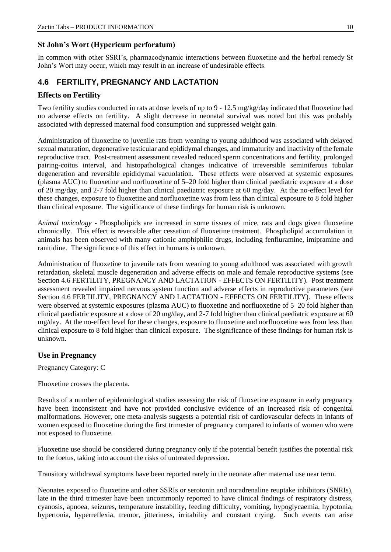### **St John's Wort (Hypericum perforatum)**

In common with other SSRI's, pharmacodynamic interactions between fluoxetine and the herbal remedy St John's Wort may occur, which may result in an increase of undesirable effects.

# **4.6 FERTILITY, PREGNANCY AND LACTATION**

### **Effects on Fertility**

Two fertility studies conducted in rats at dose levels of up to 9 - 12.5 mg/kg/day indicated that fluoxetine had no adverse effects on fertility. A slight decrease in neonatal survival was noted but this was probably associated with depressed maternal food consumption and suppressed weight gain.

Administration of fluoxetine to juvenile rats from weaning to young adulthood was associated with delayed sexual maturation, degenerative testicular and epididymal changes, and immaturity and inactivity of the female reproductive tract. Post-treatment assessment revealed reduced sperm concentrations and fertility, prolonged pairing-coitus interval, and histopathological changes indicative of irreversible seminiferous tubular degeneration and reversible epididymal vacuolation. These effects were observed at systemic exposures (plasma AUC) to fluoxetine and norfluoxetine of 5–20 fold higher than clinical paediatric exposure at a dose of 20 mg/day, and 2-7 fold higher than clinical paediatric exposure at 60 mg/day. At the no-effect level for these changes, exposure to fluoxetine and norfluoxetine was from less than clinical exposure to 8 fold higher than clinical exposure. The significance of these findings for human risk is unknown.

*Animal toxicology* - Phospholipids are increased in some tissues of mice, rats and dogs given fluoxetine chronically. This effect is reversible after cessation of fluoxetine treatment. Phospholipid accumulation in animals has been observed with many cationic amphiphilic drugs, including fenfluramine, imipramine and ranitidine. The significance of this effect in humans is unknown.

Administration of fluoxetine to juvenile rats from weaning to young adulthood was associated with growth retardation, skeletal muscle degeneration and adverse effects on male and female reproductive systems (see Section 4.6 FERTILITY, PREGNANCY AND LACTATION - EFFECTS ON FERTILITY). Post treatment assessment revealed impaired nervous system function and adverse effects in reproductive parameters (see Section 4.6 FERTILITY, PREGNANCY AND LACTATION - EFFECTS ON FERTILITY). These effects were observed at systemic exposures (plasma AUC) to fluoxetine and norfluoxetine of 5–20 fold higher than clinical paediatric exposure at a dose of 20 mg/day, and 2-7 fold higher than clinical paediatric exposure at 60 mg/day. At the no-effect level for these changes, exposure to fluoxetine and norfluoxetine was from less than clinical exposure to 8 fold higher than clinical exposure. The significance of these findings for human risk is unknown.

### **Use in Pregnancy**

Pregnancy Category: C

Fluoxetine crosses the placenta.

Results of a number of epidemiological studies assessing the risk of fluoxetine exposure in early pregnancy have been inconsistent and have not provided conclusive evidence of an increased risk of congenital malformations. However, one meta-analysis suggests a potential risk of cardiovascular defects in infants of women exposed to fluoxetine during the first trimester of pregnancy compared to infants of women who were not exposed to fluoxetine.

Fluoxetine use should be considered during pregnancy only if the potential benefit justifies the potential risk to the foetus, taking into account the risks of untreated depression.

Transitory withdrawal symptoms have been reported rarely in the neonate after maternal use near term.

Neonates exposed to fluoxetine and other SSRIs or serotonin and noradrenaline reuptake inhibitors (SNRIs), late in the third trimester have been uncommonly reported to have clinical findings of respiratory distress, cyanosis, apnoea, seizures, temperature instability, feeding difficulty, vomiting, hypoglycaemia, hypotonia, hypertonia, hyperreflexia, tremor, jitteriness, irritability and constant crying. Such events can arise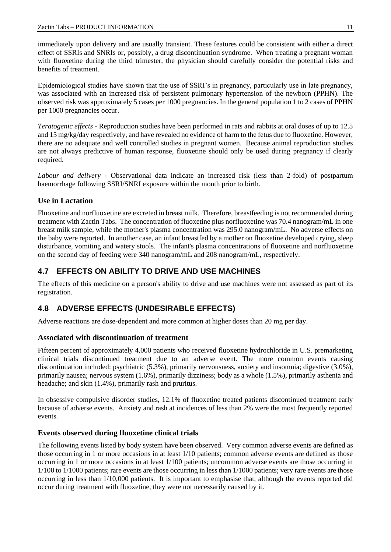immediately upon delivery and are usually transient. These features could be consistent with either a direct effect of SSRIs and SNRIs or, possibly, a drug discontinuation syndrome. When treating a pregnant woman with fluoxetine during the third trimester, the physician should carefully consider the potential risks and benefits of treatment.

Epidemiological studies have shown that the use of SSRI's in pregnancy, particularly use in late pregnancy, was associated with an increased risk of persistent pulmonary hypertension of the newborn (PPHN). The observed risk was approximately 5 cases per 1000 pregnancies. In the general population 1 to 2 cases of PPHN per 1000 pregnancies occur.

*Teratogenic effects* - Reproduction studies have been performed in rats and rabbits at oral doses of up to 12.5 and 15 mg/kg/day respectively, and have revealed no evidence of harm to the fetus due to fluoxetine. However, there are no adequate and well controlled studies in pregnant women. Because animal reproduction studies are not always predictive of human response, fluoxetine should only be used during pregnancy if clearly required.

*Labour and delivery* - Observational data indicate an increased risk (less than 2-fold) of postpartum haemorrhage following SSRI/SNRI exposure within the month prior to birth.

# **Use in Lactation**

Fluoxetine and norfluoxetine are excreted in breast milk. Therefore, breastfeeding is not recommended during treatment with Zactin Tabs. The concentration of fluoxetine plus norfluoxetine was 70.4 nanogram/mL in one breast milk sample, while the mother's plasma concentration was 295.0 nanogram/mL. No adverse effects on the baby were reported. In another case, an infant breastfed by a mother on fluoxetine developed crying, sleep disturbance, vomiting and watery stools. The infant's plasma concentrations of fluoxetine and norfluoxetine on the second day of feeding were 340 nanogram/mL and 208 nanogram/mL, respectively.

# **4.7 EFFECTS ON ABILITY TO DRIVE AND USE MACHINES**

The effects of this medicine on a person's ability to drive and use machines were not assessed as part of its registration.

# **4.8 ADVERSE EFFECTS (UNDESIRABLE EFFECTS)**

Adverse reactions are dose-dependent and more common at higher doses than 20 mg per day.

### **Associated with discontinuation of treatment**

Fifteen percent of approximately 4,000 patients who received fluoxetine hydrochloride in U.S. premarketing clinical trials discontinued treatment due to an adverse event. The more common events causing discontinuation included: psychiatric (5.3%), primarily nervousness, anxiety and insomnia; digestive (3.0%), primarily nausea; nervous system (1.6%), primarily dizziness; body as a whole (1.5%), primarily asthenia and headache; and skin (1.4%), primarily rash and pruritus.

In obsessive compulsive disorder studies, 12.1% of fluoxetine treated patients discontinued treatment early because of adverse events. Anxiety and rash at incidences of less than 2% were the most frequently reported events.

### **Events observed during fluoxetine clinical trials**

The following events listed by body system have been observed. Very common adverse events are defined as those occurring in 1 or more occasions in at least 1/10 patients; common adverse events are defined as those occurring in 1 or more occasions in at least 1/100 patients; uncommon adverse events are those occurring in 1/100 to 1/1000 patients; rare events are those occurring in less than 1/1000 patients; very rare events are those occurring in less than 1/10,000 patients. It is important to emphasise that, although the events reported did occur during treatment with fluoxetine, they were not necessarily caused by it.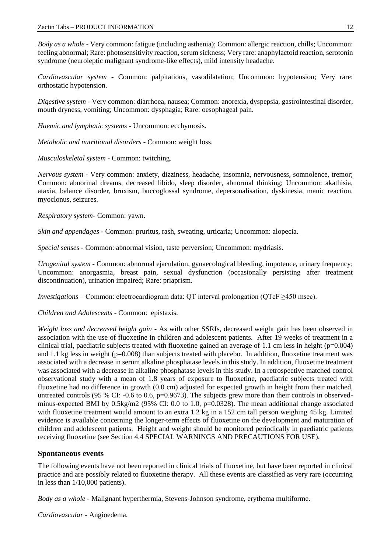*Body as a whole* - Very common: fatigue (including asthenia); Common: allergic reaction, chills; Uncommon: feeling abnormal; Rare: photosensitivity reaction, serum sickness; Very rare: anaphylactoid reaction, serotonin syndrome (neuroleptic malignant syndrome-like effects), mild intensity headache.

*Cardiovascular system* - Common: palpitations, vasodilatation; Uncommon: hypotension; Very rare: orthostatic hypotension.

*Digestive system* - Very common: diarrhoea, nausea; Common: anorexia, dyspepsia, gastrointestinal disorder, mouth dryness, vomiting; Uncommon: dysphagia; Rare: oesophageal pain.

*Haemic and lymphatic systems* - Uncommon: ecchymosis.

*Metabolic and nutritional disorders* - Common: weight loss.

*Musculoskeletal system* - Common: twitching.

*Nervous system -* Very common: anxiety, dizziness, headache, insomnia, nervousness, somnolence, tremor; Common: abnormal dreams, decreased libido, sleep disorder, abnormal thinking; Uncommon: akathisia, ataxia, balance disorder, bruxism, buccoglossal syndrome, depersonalisation, dyskinesia, manic reaction, myoclonus, seizures.

*Respiratory system*- Common: yawn.

*Skin and appendages* - Common: pruritus, rash, sweating, urticaria; Uncommon: alopecia.

*Special senses* - Common: abnormal vision, taste perversion; Uncommon: mydriasis.

*Urogenital system* - Common: abnormal ejaculation, gynaecological bleeding, impotence, urinary frequency; Uncommon: anorgasmia, breast pain, sexual dysfunction (occasionally persisting after treatment discontinuation), urination impaired; Rare: priaprism.

*Investigations* – Common: electrocardiogram data: QT interval prolongation (QTcF ≥450 msec).

*Children and Adolescents* - Common: epistaxis.

*Weight loss and decreased height gain* - As with other SSRIs, decreased weight gain has been observed in association with the use of fluoxetine in children and adolescent patients. After 19 weeks of treatment in a clinical trial, paediatric subjects treated with fluoxetine gained an average of 1.1 cm less in height ( $p=0.004$ ) and 1.1 kg less in weight (p=0.008) than subjects treated with placebo. In addition, fluoxetine treatment was associated with a decrease in serum alkaline phosphatase levels in this study. In addition, fluoxetine treatment was associated with a decrease in alkaline phosphatase levels in this study. In a retrospective matched control observational study with a mean of 1.8 years of exposure to fluoxetine, paediatric subjects treated with fluoxetine had no difference in growth (0.0 cm) adjusted for expected growth in height from their matched, untreated controls (95 % CI:  $-0.6$  to 0.6, p=0.9673). The subjects grew more than their controls in observedminus-expected BMI by  $0.5\text{kg/m}$  (95% CI: 0.0 to 1.0, p=0.0328). The mean additional change associated with fluoxetine treatment would amount to an extra 1.2 kg in a 152 cm tall person weighing 45 kg. Limited evidence is available concerning the longer-term effects of fluoxetine on the development and maturation of children and adolescent patients. Height and weight should be monitored periodically in paediatric patients receiving fluoxetine (see Section 4.4 SPECIAL WARNINGS AND PRECAUTIONS FOR USE).

#### **Spontaneous events**

The following events have not been reported in clinical trials of fluoxetine, but have been reported in clinical practice and are possibly related to fluoxetine therapy. All these events are classified as very rare (occurring in less than 1/10,000 patients).

*Body as a whole* - Malignant hyperthermia, Stevens-Johnson syndrome, erythema multiforme.

*Cardiovascular -* Angioedema.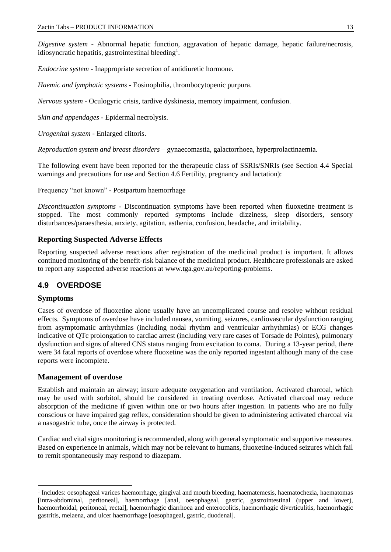*Digestive system -* Abnormal hepatic function, aggravation of hepatic damage, hepatic failure/necrosis, idiosyncratic hepatitis, gastrointestinal bleeding<sup>1</sup>.

*Endocrine system* - Inappropriate secretion of antidiuretic hormone.

*Haemic and lymphatic systems* - Eosinophilia, thrombocytopenic purpura.

*Nervous system* - Oculogyric crisis, tardive dyskinesia, memory impairment, confusion.

*Skin and appendages* - Epidermal necrolysis.

*Urogenital system* - Enlarged clitoris.

*Reproduction system and breast disorders* – gynaecomastia, galactorrhoea, hyperprolactinaemia.

The following event have been reported for the therapeutic class of SSRIs/SNRIs (see Section 4.4 Special warnings and precautions for use and Section 4.6 Fertility, pregnancy and lactation):

Frequency "not known" - Postpartum haemorrhage

*Discontinuation symptoms -* Discontinuation symptoms have been reported when fluoxetine treatment is stopped. The most commonly reported symptoms include dizziness, sleep disorders, sensory disturbances/paraesthesia, anxiety, agitation, asthenia, confusion, headache, and irritability.

#### **Reporting Suspected Adverse Effects**

Reporting suspected adverse reactions after registration of the medicinal product is important. It allows continued monitoring of the benefit-risk balance of the medicinal product. Healthcare professionals are asked to report any suspected adverse reactions at [www.tga.gov.au/reporting-problems.](http://www.tga.gov.au/reporting-problems)

# **4.9 OVERDOSE**

#### **Symptoms**

Cases of overdose of fluoxetine alone usually have an uncomplicated course and resolve without residual effects. Symptoms of overdose have included nausea, vomiting, seizures, cardiovascular dysfunction ranging from asymptomatic arrhythmias (including nodal rhythm and ventricular arrhythmias) or ECG changes indicative of QTc prolongation to cardiac arrest (including very rare cases of Torsade de Pointes), pulmonary dysfunction and signs of altered CNS status ranging from excitation to coma. During a 13-year period, there were 34 fatal reports of overdose where fluoxetine was the only reported ingestant although many of the case reports were incomplete.

#### **Management of overdose**

Establish and maintain an airway; insure adequate oxygenation and ventilation. Activated charcoal, which may be used with sorbitol, should be considered in treating overdose. Activated charcoal may reduce absorption of the medicine if given within one or two hours after ingestion. In patients who are no fully conscious or have impaired gag reflex, consideration should be given to administering activated charcoal via a nasogastric tube, once the airway is protected.

Cardiac and vital signs monitoring is recommended, along with general symptomatic and supportive measures. Based on experience in animals, which may not be relevant to humans, fluoxetine-induced seizures which fail to remit spontaneously may respond to diazepam.

<sup>&</sup>lt;sup>1</sup> Includes: oesophageal varices haemorrhage, gingival and mouth bleeding, haematemesis, haematochezia, haematomas [intra-abdominal, peritoneal], haemorrhage [anal, oesophageal, gastric, gastrointestinal (upper and lower), haemorrhoidal, peritoneal, rectal], haemorrhagic diarrhoea and enterocolitis, haemorrhagic diverticulitis, haemorrhagic gastritis, melaena, and ulcer haemorrhage [oesophageal, gastric, duodenal].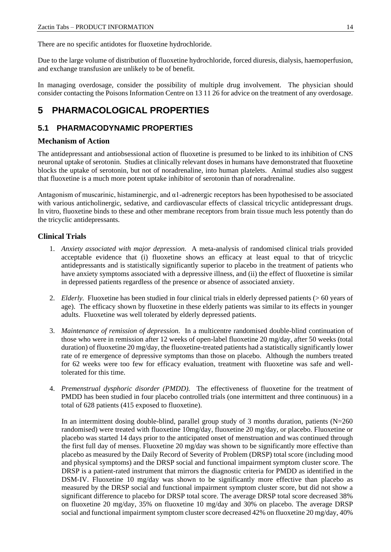There are no specific antidotes for fluoxetine hydrochloride.

Due to the large volume of distribution of fluoxetine hydrochloride, forced diuresis, dialysis, haemoperfusion, and exchange transfusion are unlikely to be of benefit.

In managing overdosage, consider the possibility of multiple drug involvement. The physician should consider contacting the Poisons Information Centre on 13 11 26 for advice on the treatment of any overdosage.

# **5 PHARMACOLOGICAL PROPERTIES**

# **5.1 PHARMACODYNAMIC PROPERTIES**

### **Mechanism of Action**

The antidepressant and antiobsessional action of fluoxetine is presumed to be linked to its inhibition of CNS neuronal uptake of serotonin. Studies at clinically relevant doses in humans have demonstrated that fluoxetine blocks the uptake of serotonin, but not of noradrenaline, into human platelets. Animal studies also suggest that fluoxetine is a much more potent uptake inhibitor of serotonin than of noradrenaline.

Antagonism of muscarinic, histaminergic, and α1-adrenergic receptors has been hypothesised to be associated with various anticholinergic, sedative, and cardiovascular effects of classical tricyclic antidepressant drugs. In vitro, fluoxetine binds to these and other membrane receptors from brain tissue much less potently than do the tricyclic antidepressants.

#### **Clinical Trials**

- 1. *Anxiety associated with major depression.* A meta-analysis of randomised clinical trials provided acceptable evidence that (i) fluoxetine shows an efficacy at least equal to that of tricyclic antidepressants and is statistically significantly superior to placebo in the treatment of patients who have anxiety symptoms associated with a depressive illness, and (ii) the effect of fluoxetine is similar in depressed patients regardless of the presence or absence of associated anxiety.
- 2. *Elderly.* Fluoxetine has been studied in four clinical trials in elderly depressed patients (> 60 years of age). The efficacy shown by fluoxetine in these elderly patients was similar to its effects in younger adults. Fluoxetine was well tolerated by elderly depressed patients.
- 3. *Maintenance of remission of depression.* In a multicentre randomised double-blind continuation of those who were in remission after 12 weeks of open-label fluoxetine 20 mg/day, after 50 weeks (total duration) of fluoxetine 20 mg/day, the fluoxetine-treated patients had a statistically significantly lower rate of re emergence of depressive symptoms than those on placebo. Although the numbers treated for 62 weeks were too few for efficacy evaluation, treatment with fluoxetine was safe and welltolerated for this time.
- 4. *Premenstrual dysphoric disorder (PMDD).* The effectiveness of fluoxetine for the treatment of PMDD has been studied in four placebo controlled trials (one intermittent and three continuous) in a total of 628 patients (415 exposed to fluoxetine).

In an intermittent dosing double-blind, parallel group study of 3 months duration, patients (N=260 randomised) were treated with fluoxetine 10mg/day, fluoxetine 20 mg/day, or placebo. Fluoxetine or placebo was started 14 days prior to the anticipated onset of menstruation and was continued through the first full day of menses. Fluoxetine 20 mg/day was shown to be significantly more effective than placebo as measured by the Daily Record of Severity of Problem (DRSP) total score (including mood and physical symptoms) and the DRSP social and functional impairment symptom cluster score. The DRSP is a patient-rated instrument that mirrors the diagnostic criteria for PMDD as identified in the DSM-IV. Fluoxetine 10 mg/day was shown to be significantly more effective than placebo as measured by the DRSP social and functional impairment symptom cluster score, but did not show a significant difference to placebo for DRSP total score. The average DRSP total score decreased 38% on fluoxetine 20 mg/day, 35% on fluoxetine 10 mg/day and 30% on placebo. The average DRSP social and functional impairment symptom cluster score decreased 42% on fluoxetine 20 mg/day, 40%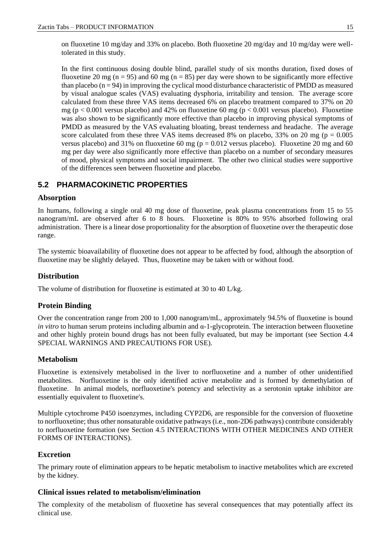on fluoxetine 10 mg/day and 33% on placebo. Both fluoxetine 20 mg/day and 10 mg/day were welltolerated in this study.

In the first continuous dosing double blind, parallel study of six months duration, fixed doses of fluoxetine 20 mg (n = 95) and 60 mg (n = 85) per day were shown to be significantly more effective than placebo  $(n = 94)$  in improving the cyclical mood disturbance characteristic of PMDD as measured by visual analogue scales (VAS) evaluating dysphoria, irritability and tension. The average score calculated from these three VAS items decreased 6% on placebo treatment compared to 37% on 20 mg ( $p < 0.001$  versus placebo) and 42% on fluoxetine 60 mg ( $p < 0.001$  versus placebo). Fluoxetine was also shown to be significantly more effective than placebo in improving physical symptoms of PMDD as measured by the VAS evaluating bloating, breast tenderness and headache. The average score calculated from these three VAS items decreased 8% on placebo, 33% on 20 mg ( $p = 0.005$ ) versus placebo) and 31% on fluoxetine 60 mg ( $p = 0.012$  versus placebo). Fluoxetine 20 mg and 60 mg per day were also significantly more effective than placebo on a number of secondary measures of mood, physical symptoms and social impairment. The other two clinical studies were supportive of the differences seen between fluoxetine and placebo.

# **5.2 PHARMACOKINETIC PROPERTIES**

### **Absorption**

In humans, following a single oral 40 mg dose of fluoxetine, peak plasma concentrations from 15 to 55 nanogram/mL are observed after 6 to 8 hours. Fluoxetine is 80% to 95% absorbed following oral administration. There is a linear dose proportionality for the absorption of fluoxetine over the therapeutic dose range.

The systemic bioavailability of fluoxetine does not appear to be affected by food, although the absorption of fluoxetine may be slightly delayed. Thus, fluoxetine may be taken with or without food.

### **Distribution**

The volume of distribution for fluoxetine is estimated at 30 to 40 L/kg.

### **Protein Binding**

Over the concentration range from 200 to 1,000 nanogram/mL, approximately 94.5% of fluoxetine is bound *in vitro* to human serum proteins including albumin and α-1-glycoprotein. The interaction between fluoxetine and other highly protein bound drugs has not been fully evaluated, but may be important (see Section 4.4 SPECIAL WARNINGS AND PRECAUTIONS FOR USE).

#### **Metabolism**

Fluoxetine is extensively metabolised in the liver to norfluoxetine and a number of other unidentified metabolites. Norfluoxetine is the only identified active metabolite and is formed by demethylation of fluoxetine. In animal models, norfluoxetine's potency and selectivity as a serotonin uptake inhibitor are essentially equivalent to fluoxetine's.

Multiple cytochrome P450 isoenzymes, including CYP2D6, are responsible for the conversion of fluoxetine to norfluoxetine; thus other nonsaturable oxidative pathways (i.e., non-2D6 pathways) contribute considerably to norfluoxetine formation (see Section 4.5 INTERACTIONS WITH OTHER MEDICINES AND OTHER FORMS OF INTERACTIONS).

#### **Excretion**

The primary route of elimination appears to be hepatic metabolism to inactive metabolites which are excreted by the kidney.

#### **Clinical issues related to metabolism/elimination**

The complexity of the metabolism of fluoxetine has several consequences that may potentially affect its clinical use.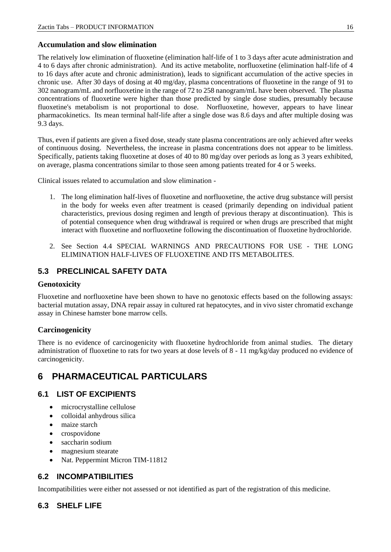#### **Accumulation and slow elimination**

The relatively low elimination of fluoxetine (elimination half-life of 1 to 3 days after acute administration and 4 to 6 days after chronic administration). And its active metabolite, norfluoxetine (elimination half-life of 4 to 16 days after acute and chronic administration), leads to significant accumulation of the active species in chronic use. After 30 days of dosing at 40 mg/day, plasma concentrations of fluoxetine in the range of 91 to 302 nanogram/mL and norfluoxetine in the range of 72 to 258 nanogram/mL have been observed. The plasma concentrations of fluoxetine were higher than those predicted by single dose studies, presumably because fluoxetine's metabolism is not proportional to dose. Norfluoxetine, however, appears to have linear pharmacokinetics. Its mean terminal half-life after a single dose was 8.6 days and after multiple dosing was 9.3 days.

Thus, even if patients are given a fixed dose, steady state plasma concentrations are only achieved after weeks of continuous dosing. Nevertheless, the increase in plasma concentrations does not appear to be limitless. Specifically, patients taking fluoxetine at doses of 40 to 80 mg/day over periods as long as 3 years exhibited, on average, plasma concentrations similar to those seen among patients treated for 4 or 5 weeks.

Clinical issues related to accumulation and slow elimination -

- 1. The long elimination half-lives of fluoxetine and norfluoxetine, the active drug substance will persist in the body for weeks even after treatment is ceased (primarily depending on individual patient characteristics, previous dosing regimen and length of previous therapy at discontinuation). This is of potential consequence when drug withdrawal is required or when drugs are prescribed that might interact with fluoxetine and norfluoxetine following the discontinuation of fluoxetine hydrochloride.
- 2. See Section 4.4 SPECIAL WARNINGS AND PRECAUTIONS FOR USE THE LONG ELIMINATION HALF-LIVES OF FLUOXETINE AND ITS METABOLITES.

# **5.3 PRECLINICAL SAFETY DATA**

#### **Genotoxicity**

Fluoxetine and norfluoxetine have been shown to have no genotoxic effects based on the following assays: bacterial mutation assay, DNA repair assay in cultured rat hepatocytes, and in vivo sister chromatid exchange assay in Chinese hamster bone marrow cells.

### **Carcinogenicity**

There is no evidence of carcinogenicity with fluoxetine hydrochloride from animal studies. The dietary administration of fluoxetine to rats for two years at dose levels of 8 - 11 mg/kg/day produced no evidence of carcinogenicity.

# **6 PHARMACEUTICAL PARTICULARS**

### **6.1 LIST OF EXCIPIENTS**

- microcrystalline cellulose
- colloidal anhydrous silica
- maize starch
- crospovidone
- saccharin sodium
- magnesium stearate
- Nat. Peppermint Micron TIM-11812

# **6.2 INCOMPATIBILITIES**

Incompatibilities were either not assessed or not identified as part of the registration of this medicine.

# **6.3 SHELF LIFE**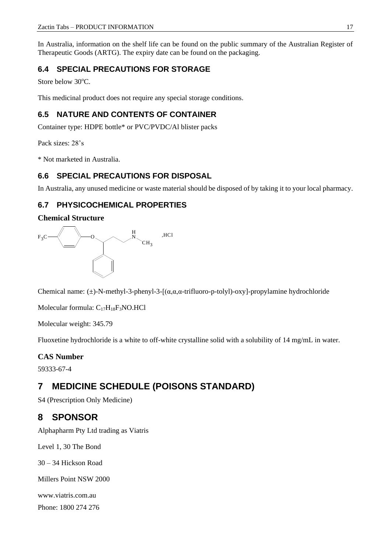In Australia, information on the shelf life can be found on the public summary of the Australian Register of Therapeutic Goods (ARTG). The expiry date can be found on the packaging.

# **6.4 SPECIAL PRECAUTIONS FOR STORAGE**

Store below 30°C.

This medicinal product does not require any special storage conditions.

# **6.5 NATURE AND CONTENTS OF CONTAINER**

Container type: HDPE bottle\* or PVC/PVDC/Al blister packs

Pack sizes: 28's

\* Not marketed in Australia.

# **6.6 SPECIAL PRECAUTIONS FOR DISPOSAL**

In Australia, any unused medicine or waste material should be disposed of by taking it to your local pharmacy.

# **6.7 PHYSICOCHEMICAL PROPERTIES**

# **Chemical Structure**



Chemical name:  $(\pm)$ -N-methyl-3-phenyl-3-[( $\alpha, \alpha, \alpha$ -trifluoro-p-tolyl)-oxy]-propylamine hydrochloride

Molecular formula: C17H18F3NO.HCl

Molecular weight: 345.79

Fluoxetine hydrochloride is a white to off-white crystalline solid with a solubility of 14 mg/mL in water.

# **CAS Number**

59333-67-4

# **7 MEDICINE SCHEDULE (POISONS STANDARD)**

S4 (Prescription Only Medicine)

# **8 SPONSOR**

Alphapharm Pty Ltd trading as Viatris

Level 1, 30 The Bond

30 – 34 Hickson Road

Millers Point NSW 2000

www.viatris.com.au

Phone: 1800 274 276